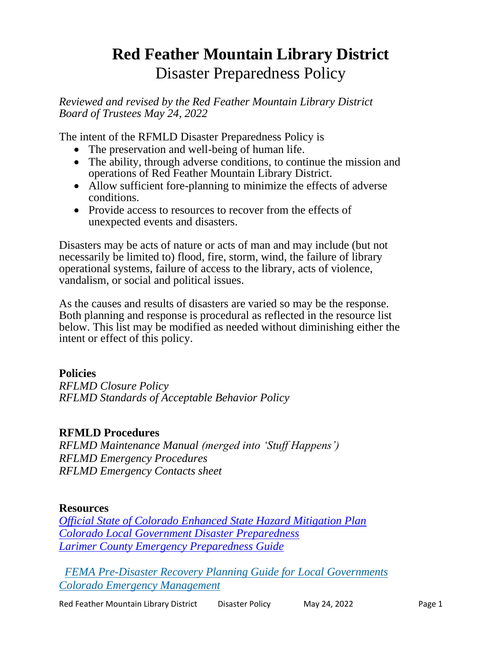# **Red Feather Mountain Library District** Disaster Preparedness Policy

*Reviewed and revised by the Red Feather Mountain Library District Board of Trustees May 24, 2022*

The intent of the RFMLD Disaster Preparedness Policy is

- The preservation and well-being of human life.
- The ability, through adverse conditions, to continue the mission and operations of Red Feather Mountain Library District.
- Allow sufficient fore-planning to minimize the effects of adverse conditions.
- Provide access to resources to recover from the effects of unexpected events and disasters.

Disasters may be acts of nature or acts of man and may include (but not necessarily be limited to) flood, fire, storm, wind, the failure of library operational systems, failure of access to the library, acts of violence, vandalism, or social and political issues.

As the causes and results of disasters are varied so may be the response. Both planning and response is procedural as reflected in the resource list below. This list may be modified as needed without diminishing either the intent or effect of this policy.

## **Policies**

*RFLMD Closure Policy RFLMD Standards of Acceptable Behavior Policy*

#### **RFMLD Procedures**

*RFLMD Maintenance Manual (merged into 'Stuff Happens') RFLMD Emergency Procedures RFLMD Emergency Contacts sheet*

#### **Resources**

*[Official State of Colorado Enhanced State Hazard Mitigation Plan](https://mars.colorado.gov/mitigation/enhanced-state-hazard-mitigation-plan-e-shmp) [Colorado Local Government Disaster Preparedness](https://www.google.com/url?sa=t&rct=j&q=&esrc=s&source=web&cd=3&cad=rja&uact=8&ved=0ahUKEwjYqqWvu9nSAhUoslQKHY89AkwQFgglMAI&url=http%3A%2F%2Fhermes.cde.state.co.us%2Fdrupal%2Fislandora%2Fobject%2Fco%253A3227%2Fdatastream%2FOBJ%2Fdownload%2FDisaster_emergency_procedures_handbook_for_Colorado_local_governments.pdf&usg=AFQjCNH8JF8izw6gBb3inKz38G3XtjcLdg&bvm=bv.149397726,bs.1,d.amc) [Larimer County Emergency Preparedness Guide](https://www.google.com/url?sa=t&rct=j&q=&esrc=s&source=web&cd=1&cad=rja&uact=8&ved=0ahUKEwjbqevrutnSAhVnwVQKHZSGCVYQFggaMAA&url=https%3A%2F%2Fwww.larimer.org%2Femergency%2FLC_Preparedness_Guide_Digital.pdf&usg=AFQjCNFRvOM3r3wMGoe2i6KoH4vyqm_uUw&bvm=bv.149397726,bs.1,d.amc)*

 *[FEMA Pre-Disaster Recovery Planning Guide for Local Governments](https://www.fema.gov/sites/default/files/2020-07/pre-disaster-recovery-planning-guide-local-governments.pdf) [Colorado Emergency Management](https://dhsem.colorado.gov/)*